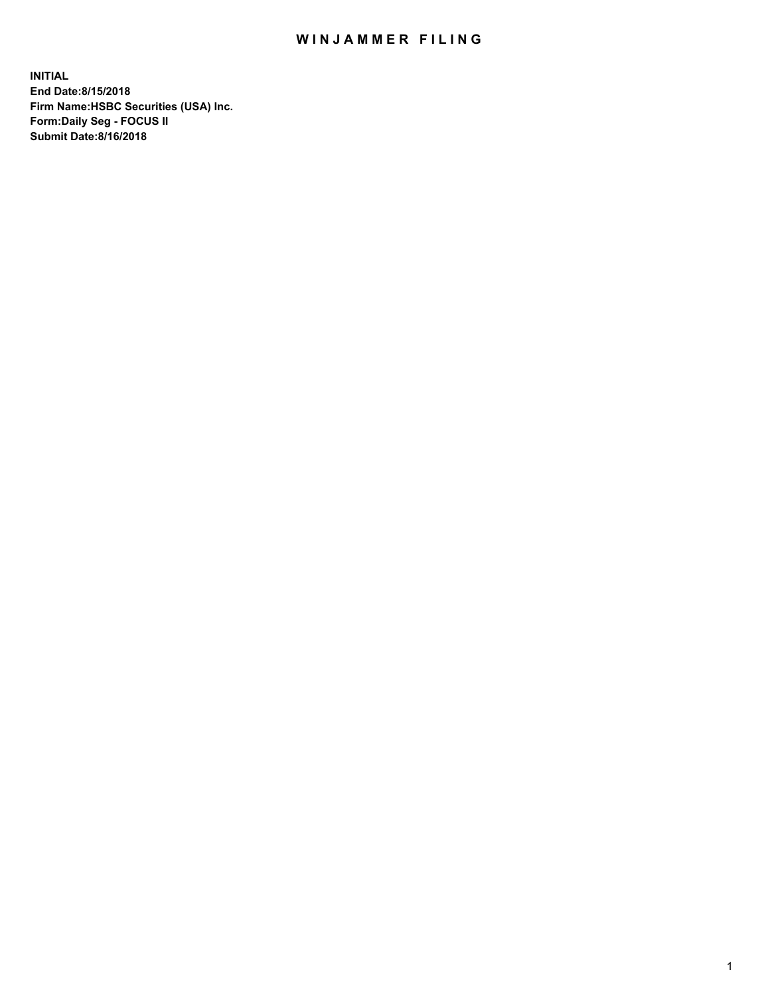## WIN JAMMER FILING

**INITIAL End Date:8/15/2018 Firm Name:HSBC Securities (USA) Inc. Form:Daily Seg - FOCUS II Submit Date:8/16/2018**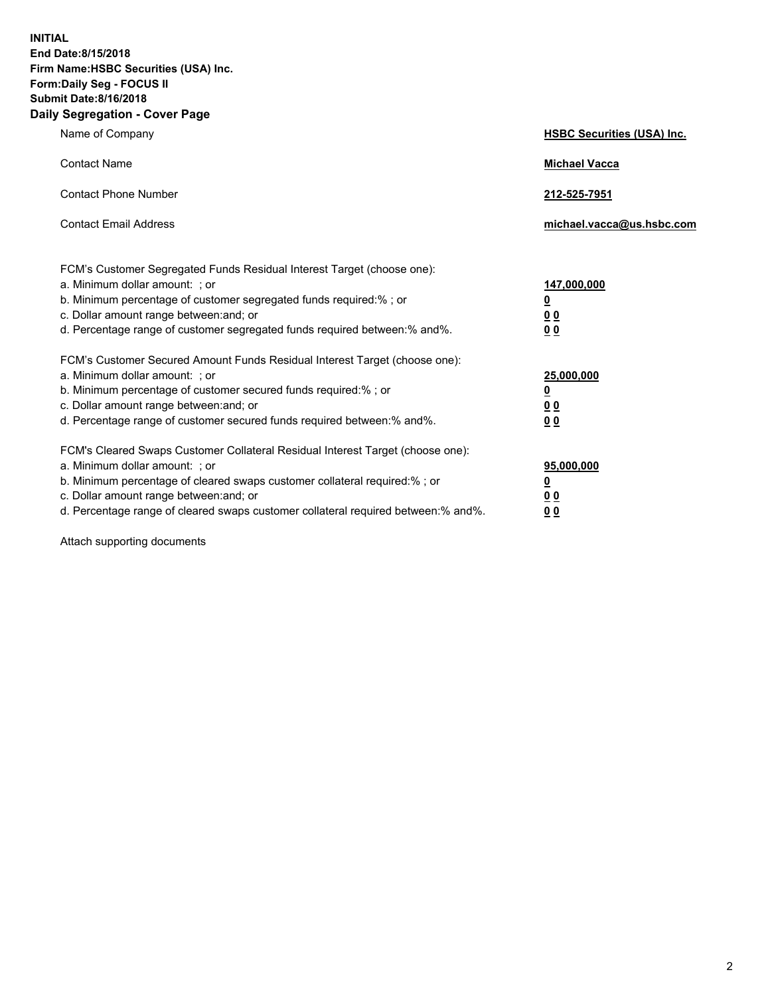**INITIAL End Date:8/15/2018 Firm Name:HSBC Securities (USA) Inc. Form:Daily Seg - FOCUS II Submit Date:8/16/2018 Daily Segregation - Cover Page**

| Name of Company                                                                                                                                                                                                                                                                                                                | <b>HSBC Securities (USA) Inc.</b>                                           |
|--------------------------------------------------------------------------------------------------------------------------------------------------------------------------------------------------------------------------------------------------------------------------------------------------------------------------------|-----------------------------------------------------------------------------|
| <b>Contact Name</b>                                                                                                                                                                                                                                                                                                            | <b>Michael Vacca</b>                                                        |
| <b>Contact Phone Number</b>                                                                                                                                                                                                                                                                                                    | 212-525-7951                                                                |
| <b>Contact Email Address</b>                                                                                                                                                                                                                                                                                                   | michael.vacca@us.hsbc.com                                                   |
| FCM's Customer Segregated Funds Residual Interest Target (choose one):<br>a. Minimum dollar amount: ; or<br>b. Minimum percentage of customer segregated funds required:% ; or<br>c. Dollar amount range between: and; or<br>d. Percentage range of customer segregated funds required between:% and%.                         | 147,000,000<br>$\underline{\mathbf{0}}$<br>0 <sub>0</sub><br>0 <sub>0</sub> |
| FCM's Customer Secured Amount Funds Residual Interest Target (choose one):<br>a. Minimum dollar amount: ; or<br>b. Minimum percentage of customer secured funds required:% ; or<br>c. Dollar amount range between: and; or<br>d. Percentage range of customer secured funds required between: % and %.                         | 25,000,000<br><u>0</u><br>0 <sub>0</sub><br>0 <sub>0</sub>                  |
| FCM's Cleared Swaps Customer Collateral Residual Interest Target (choose one):<br>a. Minimum dollar amount: ; or<br>b. Minimum percentage of cleared swaps customer collateral required:% ; or<br>c. Dollar amount range between: and; or<br>d. Percentage range of cleared swaps customer collateral required between:% and%. | 95,000,000<br><u>0</u><br>00<br>00                                          |

Attach supporting documents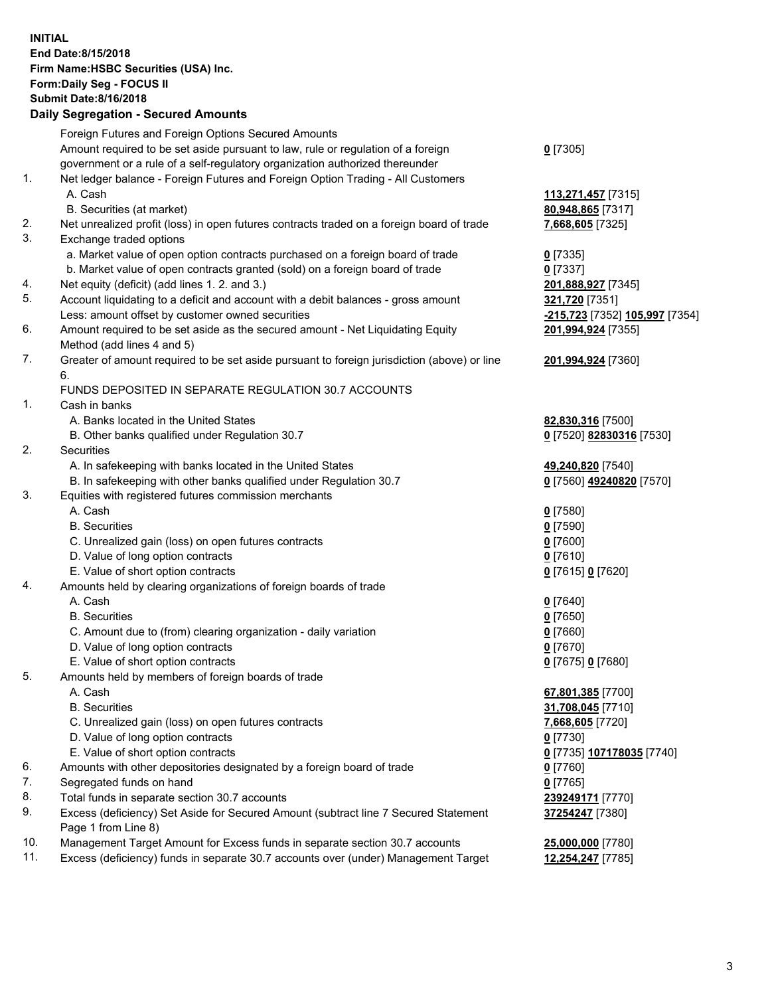**INITIAL End Date:8/15/2018 Firm Name:HSBC Securities (USA) Inc. Form:Daily Seg - FOCUS II Submit Date:8/16/2018 Daily Segregation - Secured Amounts**

Foreign Futures and Foreign Options Secured Amounts Amount required to be set aside pursuant to law, rule or regulation of a foreign government or a rule of a self-regulatory organization authorized thereunder **0** [7305] 1. Net ledger balance - Foreign Futures and Foreign Option Trading - All Customers A. Cash **113,271,457** [7315] B. Securities (at market) **80,948,865** [7317] 2. Net unrealized profit (loss) in open futures contracts traded on a foreign board of trade **7,668,605** [7325] 3. Exchange traded options a. Market value of open option contracts purchased on a foreign board of trade **0** [7335] b. Market value of open contracts granted (sold) on a foreign board of trade **0** [7337] 4. Net equity (deficit) (add lines 1. 2. and 3.) **201,888,927** [7345] 5. Account liquidating to a deficit and account with a debit balances - gross amount **321,720** [7351] Less: amount offset by customer owned securities **-215,723** [7352] **105,997** [7354] 6. Amount required to be set aside as the secured amount - Net Liquidating Equity Method (add lines 4 and 5) **201,994,924** [7355] 7. Greater of amount required to be set aside pursuant to foreign jurisdiction (above) or line 6. **201,994,924** [7360] FUNDS DEPOSITED IN SEPARATE REGULATION 30.7 ACCOUNTS 1. Cash in banks A. Banks located in the United States **82,830,316** [7500] B. Other banks qualified under Regulation 30.7 **0** [7520] **82830316** [7530] 2. Securities A. In safekeeping with banks located in the United States **49,240,820** [7540] B. In safekeeping with other banks qualified under Regulation 30.7 **0** [7560] **49240820** [7570] 3. Equities with registered futures commission merchants A. Cash **0** [7580] B. Securities **0** [7590] C. Unrealized gain (loss) on open futures contracts **0** [7600] D. Value of long option contracts **0** [7610] E. Value of short option contracts **0** [7615] **0** [7620] 4. Amounts held by clearing organizations of foreign boards of trade A. Cash **0** [7640] B. Securities **0** [7650] C. Amount due to (from) clearing organization - daily variation **0** [7660] D. Value of long option contracts **0** [7670] E. Value of short option contracts **0** [7675] **0** [7680] 5. Amounts held by members of foreign boards of trade A. Cash **67,801,385** [7700] B. Securities **31,708,045** [7710] C. Unrealized gain (loss) on open futures contracts **7,668,605** [7720] D. Value of long option contracts **0** [7730] E. Value of short option contracts **0** [7735] **107178035** [7740] 6. Amounts with other depositories designated by a foreign board of trade **0** [7760] 7. Segregated funds on hand **0** [7765] 8. Total funds in separate section 30.7 accounts **239249171** [7770] 9. Excess (deficiency) Set Aside for Secured Amount (subtract line 7 Secured Statement Page 1 from Line 8) **37254247** [7380] 10. Management Target Amount for Excess funds in separate section 30.7 accounts **25,000,000** [7780] 11. Excess (deficiency) funds in separate 30.7 accounts over (under) Management Target **12,254,247** [7785]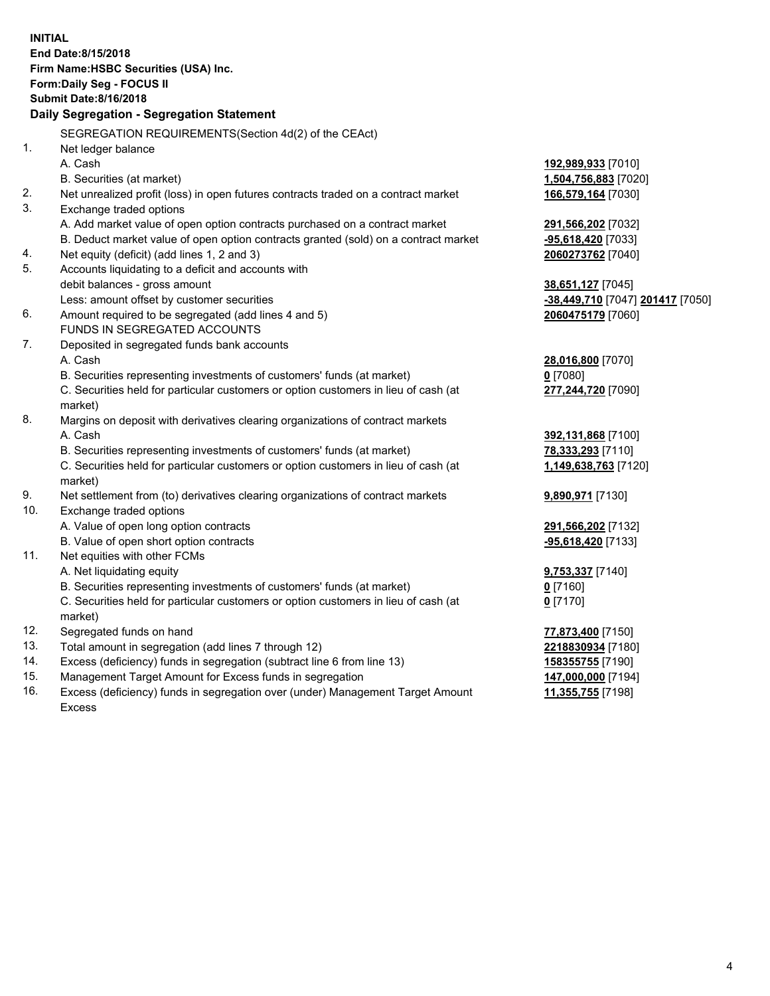|                | <b>INITIAL</b><br>End Date:8/15/2018<br>Firm Name: HSBC Securities (USA) Inc.<br>Form: Daily Seg - FOCUS II<br><b>Submit Date: 8/16/2018</b><br>Daily Segregation - Segregation Statement |                                  |
|----------------|-------------------------------------------------------------------------------------------------------------------------------------------------------------------------------------------|----------------------------------|
|                | SEGREGATION REQUIREMENTS(Section 4d(2) of the CEAct)                                                                                                                                      |                                  |
| $\mathbf{1}$ . | Net ledger balance                                                                                                                                                                        |                                  |
|                | A. Cash                                                                                                                                                                                   | 192,989,933 [7010]               |
|                | B. Securities (at market)                                                                                                                                                                 | 1,504,756,883 [7020]             |
| 2.             | Net unrealized profit (loss) in open futures contracts traded on a contract market                                                                                                        | 166,579,164 [7030]               |
| 3.             | Exchange traded options                                                                                                                                                                   |                                  |
|                | A. Add market value of open option contracts purchased on a contract market                                                                                                               | 291,566,202 [7032]               |
|                | B. Deduct market value of open option contracts granted (sold) on a contract market                                                                                                       | <u>-95,618,420</u> [7033]        |
| 4.             | Net equity (deficit) (add lines 1, 2 and 3)                                                                                                                                               | 2060273762 [7040]                |
| 5.             | Accounts liquidating to a deficit and accounts with                                                                                                                                       |                                  |
|                | debit balances - gross amount                                                                                                                                                             | 38,651,127 [7045]                |
|                | Less: amount offset by customer securities                                                                                                                                                | -38,449,710 [7047] 201417 [7050] |
| 6.             | Amount required to be segregated (add lines 4 and 5)                                                                                                                                      | 2060475179 [7060]                |
|                | FUNDS IN SEGREGATED ACCOUNTS                                                                                                                                                              |                                  |
| 7.             | Deposited in segregated funds bank accounts                                                                                                                                               |                                  |
|                | A. Cash                                                                                                                                                                                   | 28,016,800 [7070]                |
|                | B. Securities representing investments of customers' funds (at market)                                                                                                                    | $0$ [7080]                       |
|                | C. Securities held for particular customers or option customers in lieu of cash (at                                                                                                       | 277,244,720 [7090]               |
|                | market)                                                                                                                                                                                   |                                  |
| 8.             | Margins on deposit with derivatives clearing organizations of contract markets                                                                                                            |                                  |
|                | A. Cash                                                                                                                                                                                   | 392,131,868 [7100]               |
|                | B. Securities representing investments of customers' funds (at market)                                                                                                                    | 78,333,293 [7110]                |
|                | C. Securities held for particular customers or option customers in lieu of cash (at<br>market)                                                                                            | 1,149,638,763 [7120]             |
| 9.             | Net settlement from (to) derivatives clearing organizations of contract markets                                                                                                           | 9,890,971 [7130]                 |
| 10.            | Exchange traded options                                                                                                                                                                   |                                  |
|                | A. Value of open long option contracts                                                                                                                                                    | 291,566,202 [7132]               |
|                | B. Value of open short option contracts                                                                                                                                                   | -95,618,420 [7133]               |
| 11.            | Net equities with other FCMs                                                                                                                                                              |                                  |
|                | A. Net liquidating equity                                                                                                                                                                 | 9,753,337 [7140]                 |
|                | B. Securities representing investments of customers' funds (at market)                                                                                                                    | 0 [7160]                         |
|                | C. Securities held for particular customers or option customers in lieu of cash (at<br>market)                                                                                            | $0$ [7170]                       |
| 12.            | Segregated funds on hand                                                                                                                                                                  | 77,873,400 [7150]                |
| 13.            | Total amount in segregation (add lines 7 through 12)                                                                                                                                      | 2218830934 [7180]                |
| 14.            | Excess (deficiency) funds in segregation (subtract line 6 from line 13)                                                                                                                   | 158355755 [7190]                 |
| 15.            | Management Target Amount for Excess funds in segregation                                                                                                                                  | 147,000,000 [7194]               |
| 16.            | Excess (deficiency) funds in segregation over (under) Management Target Amount                                                                                                            | 11,355,755 [7198]                |
|                |                                                                                                                                                                                           |                                  |

16. Excess (deficiency) funds in segregation over (under) Management Target Amount Excess